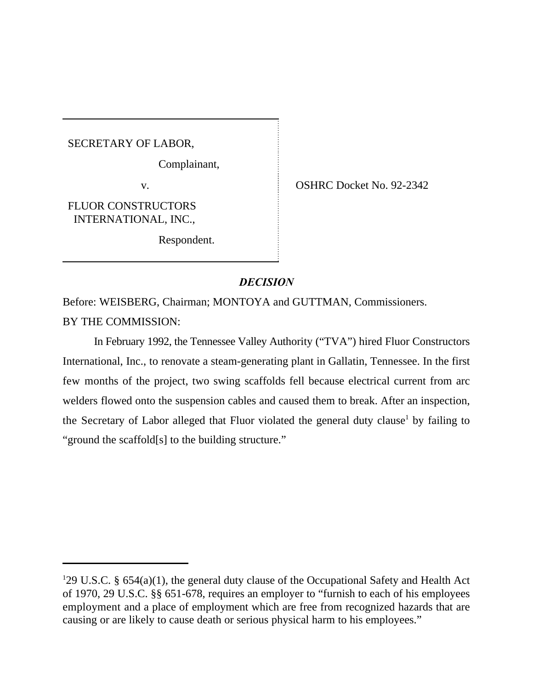SECRETARY OF LABOR,

Complainant,

FLUOR CONSTRUCTORS INTERNATIONAL, INC.,

Respondent.

v. COSHRC Docket No. 92-2342

# *DECISION*

Before: WEISBERG, Chairman; MONTOYA and GUTTMAN, Commissioners.

BY THE COMMISSION:

In February 1992, the Tennessee Valley Authority ("TVA") hired Fluor Constructors International, Inc., to renovate a steam-generating plant in Gallatin, Tennessee. In the first few months of the project, two swing scaffolds fell because electrical current from arc welders flowed onto the suspension cables and caused them to break. After an inspection, the Secretary of Labor alleged that Fluor violated the general duty clause<sup>1</sup> by failing to "ground the scaffold[s] to the building structure."

<sup>&</sup>lt;sup>1</sup>29 U.S.C. § 654(a)(1), the general duty clause of the Occupational Safety and Health Act of 1970, 29 U.S.C. §§ 651-678, requires an employer to "furnish to each of his employees employment and a place of employment which are free from recognized hazards that are causing or are likely to cause death or serious physical harm to his employees."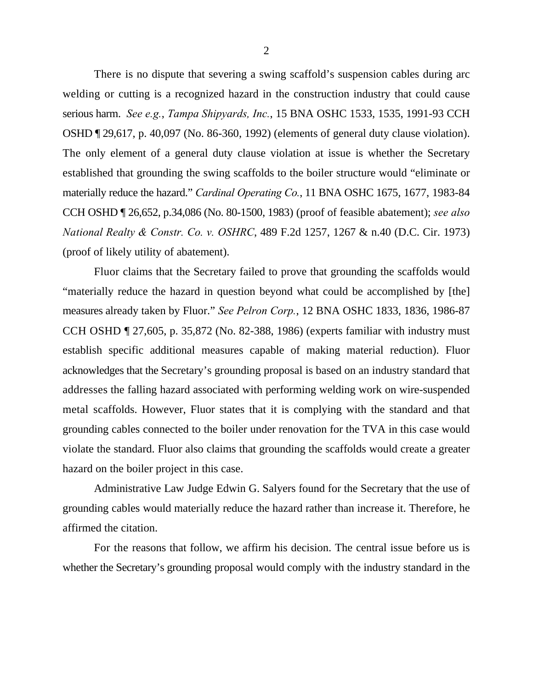There is no dispute that severing a swing scaffold's suspension cables during arc welding or cutting is a recognized hazard in the construction industry that could cause serious harm. *See e.g.*, *Tampa Shipyards, Inc.*, 15 BNA OSHC 1533, 1535, 1991-93 CCH OSHD ¶ 29,617, p. 40,097 (No. 86-360, 1992) (elements of general duty clause violation). The only element of a general duty clause violation at issue is whether the Secretary established that grounding the swing scaffolds to the boiler structure would "eliminate or materially reduce the hazard." *Cardinal Operating Co.*, 11 BNA OSHC 1675, 1677, 1983-84 CCH OSHD ¶ 26,652, p.34,086 (No. 80-1500, 1983) (proof of feasible abatement); *see also National Realty & Constr. Co. v. OSHRC*, 489 F.2d 1257, 1267 & n.40 (D.C. Cir. 1973) (proof of likely utility of abatement).

Fluor claims that the Secretary failed to prove that grounding the scaffolds would "materially reduce the hazard in question beyond what could be accomplished by [the] measures already taken by Fluor." *See Pelron Corp.*, 12 BNA OSHC 1833, 1836, 1986-87 CCH OSHD ¶ 27,605, p. 35,872 (No. 82-388, 1986) (experts familiar with industry must establish specific additional measures capable of making material reduction). Fluor acknowledges that the Secretary's grounding proposal is based on an industry standard that addresses the falling hazard associated with performing welding work on wire-suspended metal scaffolds. However, Fluor states that it is complying with the standard and that grounding cables connected to the boiler under renovation for the TVA in this case would violate the standard. Fluor also claims that grounding the scaffolds would create a greater hazard on the boiler project in this case.

Administrative Law Judge Edwin G. Salyers found for the Secretary that the use of grounding cables would materially reduce the hazard rather than increase it. Therefore, he affirmed the citation.

For the reasons that follow, we affirm his decision. The central issue before us is whether the Secretary's grounding proposal would comply with the industry standard in the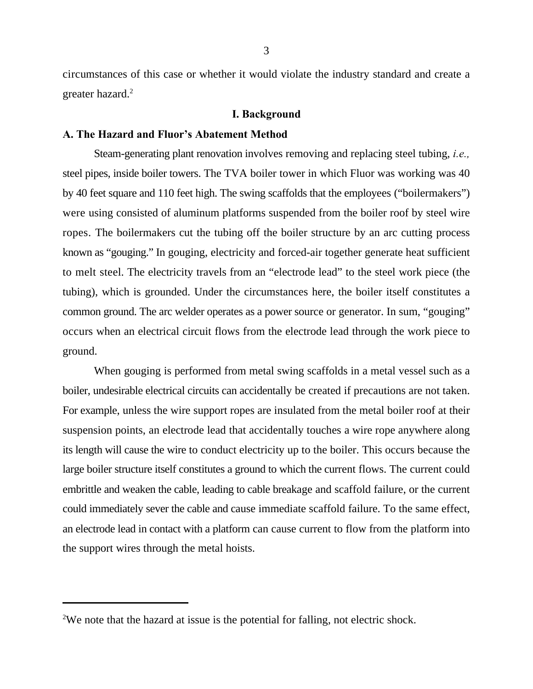circumstances of this case or whether it would violate the industry standard and create a greater hazard.<sup>2</sup>

#### **I. Background**

# **A. The Hazard and Fluor's Abatement Method**

Steam-generating plant renovation involves removing and replacing steel tubing, *i.e.,* steel pipes, inside boiler towers. The TVA boiler tower in which Fluor was working was 40 by 40 feet square and 110 feet high. The swing scaffolds that the employees ("boilermakers") were using consisted of aluminum platforms suspended from the boiler roof by steel wire ropes. The boilermakers cut the tubing off the boiler structure by an arc cutting process known as "gouging." In gouging, electricity and forced-air together generate heat sufficient to melt steel. The electricity travels from an "electrode lead" to the steel work piece (the tubing), which is grounded. Under the circumstances here, the boiler itself constitutes a common ground. The arc welder operates as a power source or generator. In sum, "gouging" occurs when an electrical circuit flows from the electrode lead through the work piece to ground.

When gouging is performed from metal swing scaffolds in a metal vessel such as a boiler, undesirable electrical circuits can accidentally be created if precautions are not taken. For example, unless the wire support ropes are insulated from the metal boiler roof at their suspension points, an electrode lead that accidentally touches a wire rope anywhere along its length will cause the wire to conduct electricity up to the boiler. This occurs because the large boiler structure itself constitutes a ground to which the current flows. The current could embrittle and weaken the cable, leading to cable breakage and scaffold failure, or the current could immediately sever the cable and cause immediate scaffold failure. To the same effect, an electrode lead in contact with a platform can cause current to flow from the platform into the support wires through the metal hoists.

<sup>&</sup>lt;sup>2</sup>We note that the hazard at issue is the potential for falling, not electric shock.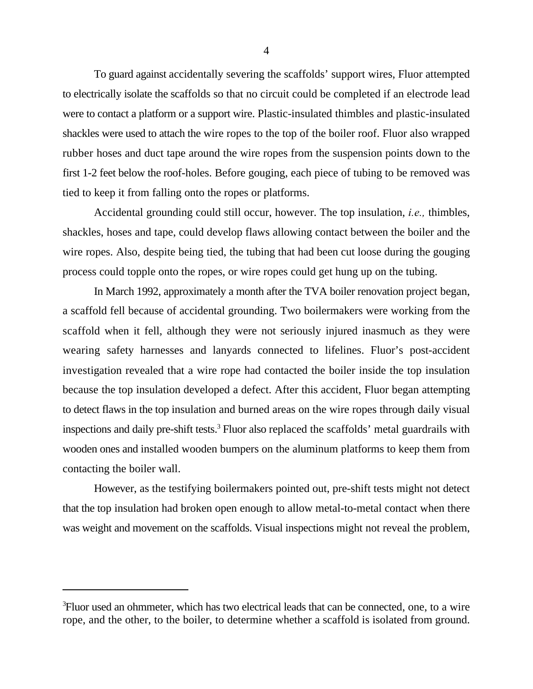To guard against accidentally severing the scaffolds' support wires, Fluor attempted to electrically isolate the scaffolds so that no circuit could be completed if an electrode lead were to contact a platform or a support wire. Plastic-insulated thimbles and plastic-insulated shackles were used to attach the wire ropes to the top of the boiler roof. Fluor also wrapped rubber hoses and duct tape around the wire ropes from the suspension points down to the first 1-2 feet below the roof-holes. Before gouging, each piece of tubing to be removed was tied to keep it from falling onto the ropes or platforms.

Accidental grounding could still occur, however. The top insulation, *i.e.,* thimbles, shackles, hoses and tape, could develop flaws allowing contact between the boiler and the wire ropes. Also, despite being tied, the tubing that had been cut loose during the gouging process could topple onto the ropes, or wire ropes could get hung up on the tubing.

In March 1992, approximately a month after the TVA boiler renovation project began, a scaffold fell because of accidental grounding. Two boilermakers were working from the scaffold when it fell, although they were not seriously injured inasmuch as they were wearing safety harnesses and lanyards connected to lifelines. Fluor's post-accident investigation revealed that a wire rope had contacted the boiler inside the top insulation because the top insulation developed a defect. After this accident, Fluor began attempting to detect flaws in the top insulation and burned areas on the wire ropes through daily visual inspections and daily pre-shift tests.<sup>3</sup> Fluor also replaced the scaffolds' metal guardrails with wooden ones and installed wooden bumpers on the aluminum platforms to keep them from contacting the boiler wall.

However, as the testifying boilermakers pointed out, pre-shift tests might not detect that the top insulation had broken open enough to allow metal-to-metal contact when there was weight and movement on the scaffolds. Visual inspections might not reveal the problem,

Fluor used an ohmmeter, which has two electrical leads that can be connected, one, to a wire <sup>3</sup> rope, and the other, to the boiler, to determine whether a scaffold is isolated from ground.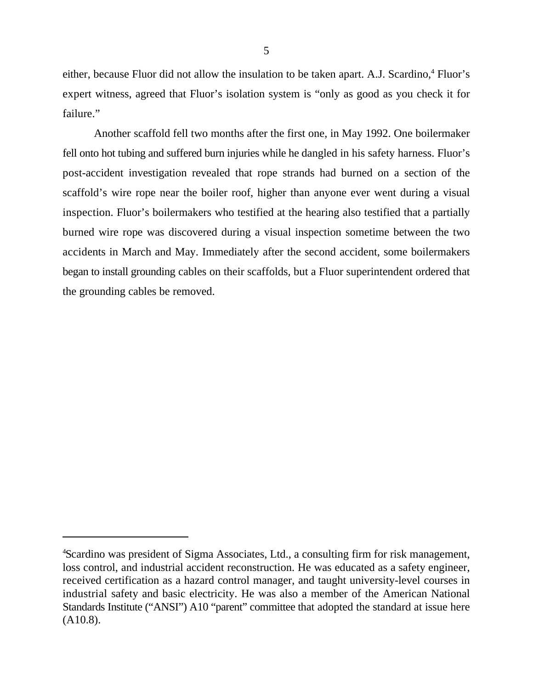either, because Fluor did not allow the insulation to be taken apart. A.J. Scardino,<sup>4</sup> Fluor's expert witness, agreed that Fluor's isolation system is "only as good as you check it for failure."

Another scaffold fell two months after the first one, in May 1992. One boilermaker fell onto hot tubing and suffered burn injuries while he dangled in his safety harness. Fluor's post-accident investigation revealed that rope strands had burned on a section of the scaffold's wire rope near the boiler roof, higher than anyone ever went during a visual inspection. Fluor's boilermakers who testified at the hearing also testified that a partially burned wire rope was discovered during a visual inspection sometime between the two accidents in March and May. Immediately after the second accident, some boilermakers began to install grounding cables on their scaffolds, but a Fluor superintendent ordered that the grounding cables be removed.

<sup>&</sup>lt;sup>4</sup>Scardino was president of Sigma Associates, Ltd., a consulting firm for risk management, loss control, and industrial accident reconstruction. He was educated as a safety engineer, received certification as a hazard control manager, and taught university-level courses in industrial safety and basic electricity. He was also a member of the American National Standards Institute ("ANSI") A10 "parent" committee that adopted the standard at issue here (A10.8).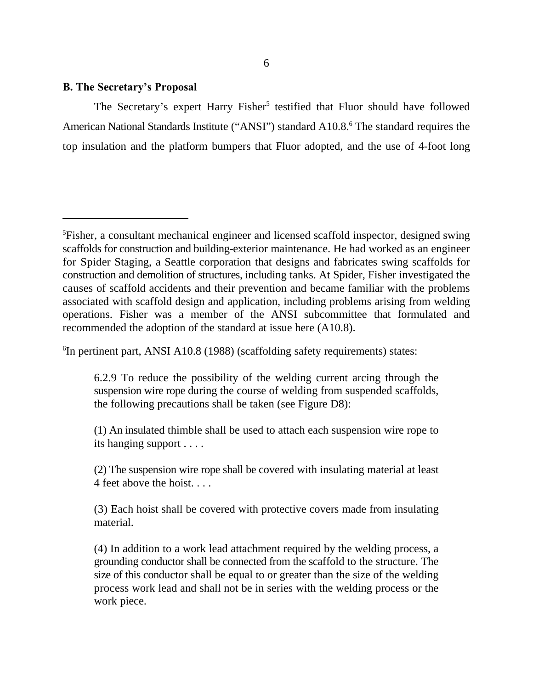# **B. The Secretary's Proposal**

The Secretary's expert Harry Fisher<sup>5</sup> testified that Fluor should have followed American National Standards Institute ("ANSI") standard A10.8.<sup>6</sup> The standard requires the top insulation and the platform bumpers that Fluor adopted, and the use of 4-foot long

 ${}^{6}$ In pertinent part, ANSI A10.8 (1988) (scaffolding safety requirements) states:

6.2.9 To reduce the possibility of the welding current arcing through the suspension wire rope during the course of welding from suspended scaffolds, the following precautions shall be taken (see Figure D8):

(1) An insulated thimble shall be used to attach each suspension wire rope to its hanging support . . . .

(2) The suspension wire rope shall be covered with insulating material at least 4 feet above the hoist. . . .

(3) Each hoist shall be covered with protective covers made from insulating material.

(4) In addition to a work lead attachment required by the welding process, a grounding conductor shall be connected from the scaffold to the structure. The size of this conductor shall be equal to or greater than the size of the welding process work lead and shall not be in series with the welding process or the work piece.

<sup>&</sup>lt;sup>5</sup>Fisher, a consultant mechanical engineer and licensed scaffold inspector, designed swing scaffolds for construction and building-exterior maintenance. He had worked as an engineer for Spider Staging, a Seattle corporation that designs and fabricates swing scaffolds for construction and demolition of structures, including tanks. At Spider, Fisher investigated the causes of scaffold accidents and their prevention and became familiar with the problems associated with scaffold design and application, including problems arising from welding operations. Fisher was a member of the ANSI subcommittee that formulated and recommended the adoption of the standard at issue here (A10.8).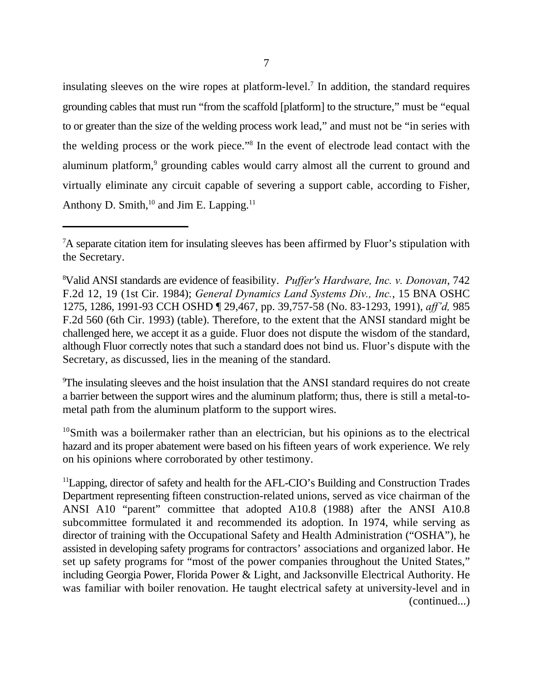insulating sleeves on the wire ropes at platform-level.<sup>7</sup> In addition, the standard requires grounding cables that must run "from the scaffold [platform] to the structure," must be "equal to or greater than the size of the welding process work lead," and must not be "in series with the welding process or the work piece."<sup>8</sup> In the event of electrode lead contact with the aluminum platform,<sup>9</sup> grounding cables would carry almost all the current to ground and virtually eliminate any circuit capable of severing a support cable, according to Fisher, Anthony D. Smith,  $10$  and Jim E. Lapping.  $11$ 

<sup>9</sup>The insulating sleeves and the hoist insulation that the ANSI standard requires do not create a barrier between the support wires and the aluminum platform; thus, there is still a metal-tometal path from the aluminum platform to the support wires.

<sup>10</sup>Smith was a boilermaker rather than an electrician, but his opinions as to the electrical hazard and its proper abatement were based on his fifteen years of work experience. We rely on his opinions where corroborated by other testimony.

 $11$ Lapping, director of safety and health for the AFL-CIO's Building and Construction Trades Department representing fifteen construction-related unions, served as vice chairman of the ANSI A10 "parent" committee that adopted A10.8 (1988) after the ANSI A10.8 subcommittee formulated it and recommended its adoption. In 1974, while serving as director of training with the Occupational Safety and Health Administration ("OSHA"), he assisted in developing safety programs for contractors' associations and organized labor. He set up safety programs for "most of the power companies throughout the United States," including Georgia Power, Florida Power & Light, and Jacksonville Electrical Authority. He was familiar with boiler renovation. He taught electrical safety at university-level and in (continued...)

<sup>&</sup>lt;sup>7</sup>A separate citation item for insulating sleeves has been affirmed by Fluor's stipulation with the Secretary.

Valid ANSI standards are evidence of feasibility. *Puffer's Hardware, Inc. v. Donovan*, 742 <sup>8</sup> F.2d 12, 19 (1st Cir. 1984); *General Dynamics Land Systems Div., Inc.*, 15 BNA OSHC 1275, 1286, 1991-93 CCH OSHD ¶ 29,467, pp. 39,757-58 (No. 83-1293, 1991), *aff'd,* 985 F.2d 560 (6th Cir. 1993) (table). Therefore, to the extent that the ANSI standard might be challenged here, we accept it as a guide. Fluor does not dispute the wisdom of the standard, although Fluor correctly notes that such a standard does not bind us. Fluor's dispute with the Secretary, as discussed, lies in the meaning of the standard.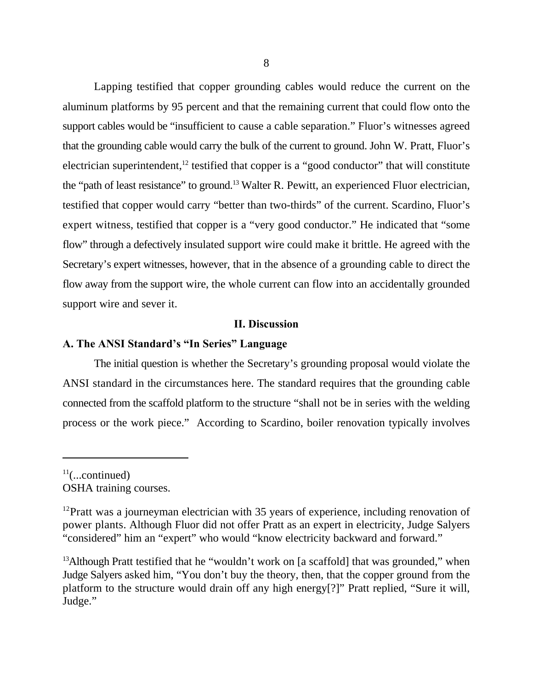Lapping testified that copper grounding cables would reduce the current on the aluminum platforms by 95 percent and that the remaining current that could flow onto the support cables would be "insufficient to cause a cable separation." Fluor's witnesses agreed that the grounding cable would carry the bulk of the current to ground. John W. Pratt, Fluor's electrician superintendent,  $12$  testified that copper is a "good conductor" that will constitute the "path of least resistance" to ground.<sup>13</sup> Walter R. Pewitt, an experienced Fluor electrician, testified that copper would carry "better than two-thirds" of the current. Scardino, Fluor's expert witness, testified that copper is a "very good conductor." He indicated that "some flow" through a defectively insulated support wire could make it brittle. He agreed with the Secretary's expert witnesses, however, that in the absence of a grounding cable to direct the flow away from the support wire, the whole current can flow into an accidentally grounded support wire and sever it.

#### **II. Discussion**

# **A. The ANSI Standard's "In Series" Language**

The initial question is whether the Secretary's grounding proposal would violate the ANSI standard in the circumstances here. The standard requires that the grounding cable connected from the scaffold platform to the structure "shall not be in series with the welding process or the work piece." According to Scardino, boiler renovation typically involves

 $11$ (...continued) OSHA training courses.

 $12$ Pratt was a journeyman electrician with 35 years of experience, including renovation of power plants. Although Fluor did not offer Pratt as an expert in electricity, Judge Salyers "considered" him an "expert" who would "know electricity backward and forward."

<sup>&</sup>lt;sup>13</sup> Although Pratt testified that he "wouldn't work on [a scaffold] that was grounded," when Judge Salyers asked him, "You don't buy the theory, then, that the copper ground from the platform to the structure would drain off any high energy[?]" Pratt replied, "Sure it will, Judge."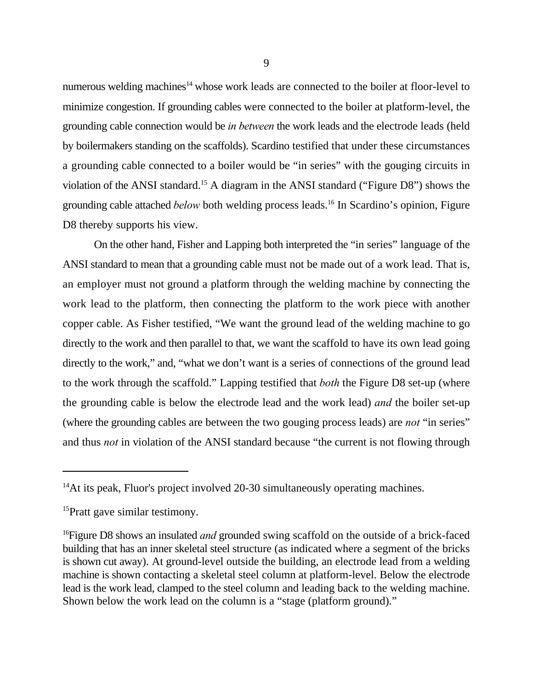numerous welding machines<sup> $14$ </sup> whose work leads are connected to the boiler at floor-level to minimize congestion. If grounding cables were connected to the boiler at platform-level, the grounding cable connection would be *in between* the work leads and the electrode leads (held by boilermakers standing on the scaffolds). Scardino testified that under these circumstances a grounding cable connected to a boiler would be "in series" with the gouging circuits in violation of the ANSI standard.<sup>15</sup> A diagram in the ANSI standard ("Figure D8") shows the grounding cable attached *below* both welding process leads.<sup>16</sup> In Scardino's opinion, Figure D8 thereby supports his view.

On the other hand, Fisher and Lapping both interpreted the "in series" language of the ANSI standard to mean that a grounding cable must not be made out of a work lead. That is, an employer must not ground a platform through the welding machine by connecting the work lead to the platform, then connecting the platform to the work piece with another copper cable. As Fisher testified, "We want the ground lead of the welding machine to go directly to the work and then parallel to that, we want the scaffold to have its own lead going directly to the work," and, "what we don't want is a series of connections of the ground lead to the work through the scaffold." Lapping testified that *both* the Figure D8 set-up (where the grounding cable is below the electrode lead and the work lead) *and* the boiler set-up (where the grounding cables are between the two gouging process leads) are *not* "in series" and thus *not* in violation of the ANSI standard because "the current is not flowing through

 $14$ At its peak, Fluor's project involved 20-30 simultaneously operating machines.

 $15$ Pratt gave similar testimony.

<sup>&</sup>lt;sup>16</sup> Figure D8 shows an insulated *and* grounded swing scaffold on the outside of a brick-faced building that has an inner skeletal steel structure (as indicated where a segment of the bricks is shown cut away). At ground-level outside the building, an electrode lead from a welding machine is shown contacting a skeletal steel column at platform-level. Below the electrode lead is the work lead, clamped to the steel column and leading back to the welding machine. Shown below the work lead on the column is a "stage (platform ground)."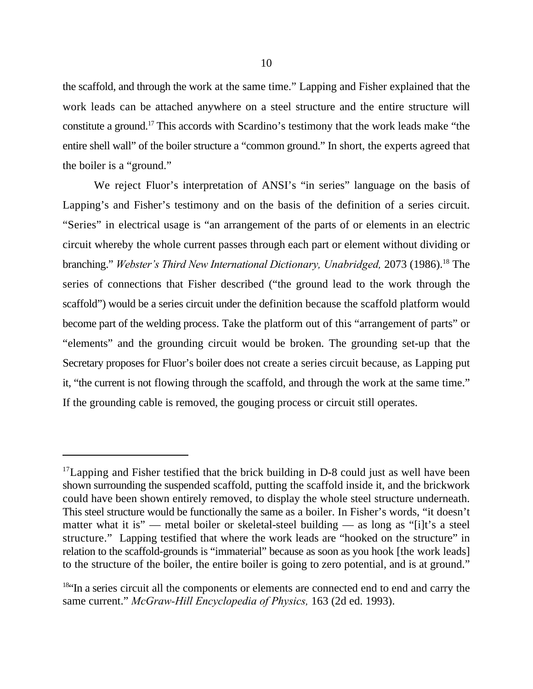the scaffold, and through the work at the same time." Lapping and Fisher explained that the work leads can be attached anywhere on a steel structure and the entire structure will constitute a ground.<sup>17</sup> This accords with Scardino's testimony that the work leads make "the entire shell wall" of the boiler structure a "common ground." In short, the experts agreed that the boiler is a "ground."

We reject Fluor's interpretation of ANSI's "in series" language on the basis of Lapping's and Fisher's testimony and on the basis of the definition of a series circuit. "Series" in electrical usage is "an arrangement of the parts of or elements in an electric circuit whereby the whole current passes through each part or element without dividing or branching." *Webster's Third New International Dictionary, Unabridged,* 2073 (1986).<sup>18</sup> The series of connections that Fisher described ("the ground lead to the work through the scaffold") would be a series circuit under the definition because the scaffold platform would become part of the welding process. Take the platform out of this "arrangement of parts" or "elements" and the grounding circuit would be broken. The grounding set-up that the Secretary proposes for Fluor's boiler does not create a series circuit because, as Lapping put it, "the current is not flowing through the scaffold, and through the work at the same time." If the grounding cable is removed, the gouging process or circuit still operates.

 $17$  Lapping and Fisher testified that the brick building in D-8 could just as well have been shown surrounding the suspended scaffold, putting the scaffold inside it, and the brickwork could have been shown entirely removed, to display the whole steel structure underneath. This steel structure would be functionally the same as a boiler. In Fisher's words, "it doesn't matter what it is" — metal boiler or skeletal-steel building — as long as "[i]t's a steel structure." Lapping testified that where the work leads are "hooked on the structure" in relation to the scaffold-grounds is "immaterial" because as soon as you hook [the work leads] to the structure of the boiler, the entire boiler is going to zero potential, and is at ground."

 $184$ <sup>Is.</sup> In a series circuit all the components or elements are connected end to end and carry the same current." *McGraw-Hill Encyclopedia of Physics,* 163 (2d ed. 1993).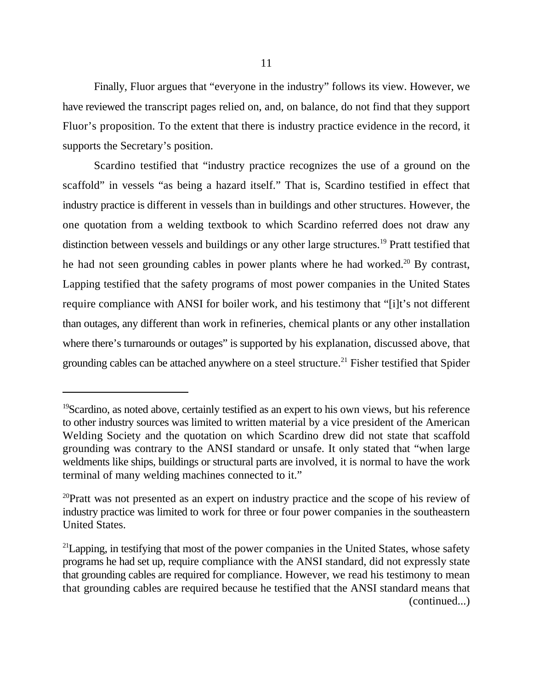Finally, Fluor argues that "everyone in the industry" follows its view. However, we have reviewed the transcript pages relied on, and, on balance, do not find that they support Fluor's proposition. To the extent that there is industry practice evidence in the record, it supports the Secretary's position.

Scardino testified that "industry practice recognizes the use of a ground on the scaffold" in vessels "as being a hazard itself." That is, Scardino testified in effect that industry practice is different in vessels than in buildings and other structures. However, the one quotation from a welding textbook to which Scardino referred does not draw any distinction between vessels and buildings or any other large structures.<sup>19</sup> Pratt testified that he had not seen grounding cables in power plants where he had worked.<sup>20</sup> By contrast, Lapping testified that the safety programs of most power companies in the United States require compliance with ANSI for boiler work, and his testimony that "[i]t's not different than outages, any different than work in refineries, chemical plants or any other installation where there's turnarounds or outages" is supported by his explanation, discussed above, that grounding cables can be attached anywhere on a steel structure.<sup>21</sup> Fisher testified that Spider

 $^{19}$ Scardino, as noted above, certainly testified as an expert to his own views, but his reference to other industry sources was limited to written material by a vice president of the American Welding Society and the quotation on which Scardino drew did not state that scaffold grounding was contrary to the ANSI standard or unsafe. It only stated that "when large weldments like ships, buildings or structural parts are involved, it is normal to have the work terminal of many welding machines connected to it."

 $20$ Pratt was not presented as an expert on industry practice and the scope of his review of industry practice was limited to work for three or four power companies in the southeastern United States.

 $^{21}$ Lapping, in testifying that most of the power companies in the United States, whose safety programs he had set up, require compliance with the ANSI standard, did not expressly state that grounding cables are required for compliance. However, we read his testimony to mean that grounding cables are required because he testified that the ANSI standard means that (continued...)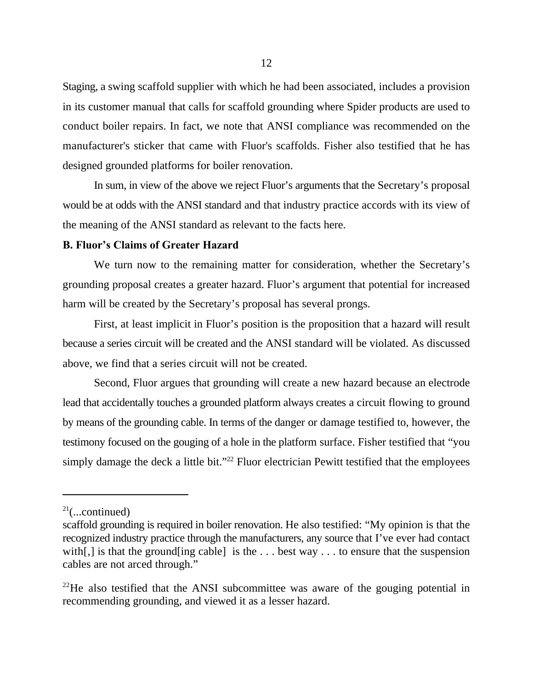Staging, a swing scaffold supplier with which he had been associated, includes a provision in its customer manual that calls for scaffold grounding where Spider products are used to conduct boiler repairs. In fact, we note that ANSI compliance was recommended on the manufacturer's sticker that came with Fluor's scaffolds. Fisher also testified that he has designed grounded platforms for boiler renovation.

In sum, in view of the above we reject Fluor's arguments that the Secretary's proposal would be at odds with the ANSI standard and that industry practice accords with its view of the meaning of the ANSI standard as relevant to the facts here.

# **B. Fluor's Claims of Greater Hazard**

We turn now to the remaining matter for consideration, whether the Secretary's grounding proposal creates a greater hazard. Fluor's argument that potential for increased harm will be created by the Secretary's proposal has several prongs.

First, at least implicit in Fluor's position is the proposition that a hazard will result because a series circuit will be created and the ANSI standard will be violated. As discussed above, we find that a series circuit will not be created.

Second, Fluor argues that grounding will create a new hazard because an electrode lead that accidentally touches a grounded platform always creates a circuit flowing to ground by means of the grounding cable. In terms of the danger or damage testified to, however, the testimony focused on the gouging of a hole in the platform surface. Fisher testified that "you simply damage the deck a little bit."<sup>22</sup> Fluor electrician Pewitt testified that the employees

 $21$ (...continued)

scaffold grounding is required in boiler renovation. He also testified: "My opinion is that the recognized industry practice through the manufacturers, any source that I've ever had contact with [,] is that the ground [ing cable] is the ... best way ... to ensure that the suspension cables are not arced through."

 $^{22}$ He also testified that the ANSI subcommittee was aware of the gouging potential in recommending grounding, and viewed it as a lesser hazard.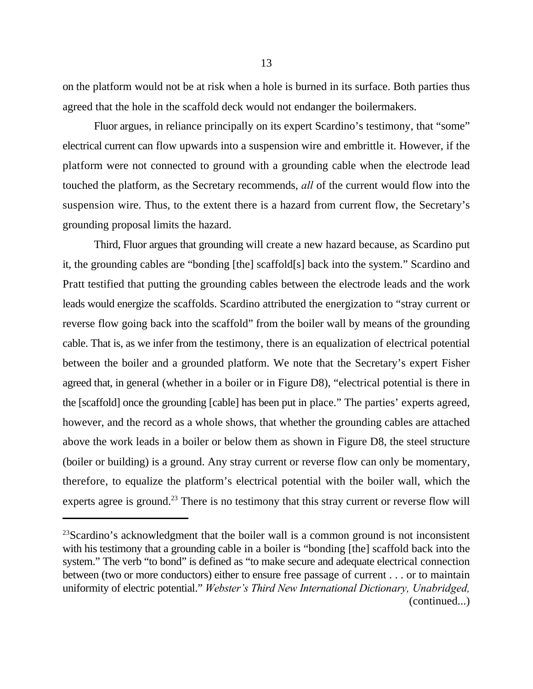on the platform would not be at risk when a hole is burned in its surface. Both parties thus agreed that the hole in the scaffold deck would not endanger the boilermakers.

Fluor argues, in reliance principally on its expert Scardino's testimony, that "some" electrical current can flow upwards into a suspension wire and embrittle it. However, if the platform were not connected to ground with a grounding cable when the electrode lead touched the platform, as the Secretary recommends, *all* of the current would flow into the suspension wire. Thus, to the extent there is a hazard from current flow, the Secretary's grounding proposal limits the hazard.

Third, Fluor argues that grounding will create a new hazard because, as Scardino put it, the grounding cables are "bonding [the] scaffold[s] back into the system." Scardino and Pratt testified that putting the grounding cables between the electrode leads and the work leads would energize the scaffolds. Scardino attributed the energization to "stray current or reverse flow going back into the scaffold" from the boiler wall by means of the grounding cable. That is, as we infer from the testimony, there is an equalization of electrical potential between the boiler and a grounded platform. We note that the Secretary's expert Fisher agreed that, in general (whether in a boiler or in Figure D8), "electrical potential is there in the [scaffold] once the grounding [cable] has been put in place." The parties' experts agreed, however, and the record as a whole shows, that whether the grounding cables are attached above the work leads in a boiler or below them as shown in Figure D8, the steel structure (boiler or building) is a ground. Any stray current or reverse flow can only be momentary, therefore, to equalize the platform's electrical potential with the boiler wall, which the experts agree is ground.<sup>23</sup> There is no testimony that this stray current or reverse flow will

 $23$ Scardino's acknowledgment that the boiler wall is a common ground is not inconsistent with his testimony that a grounding cable in a boiler is "bonding [the] scaffold back into the system." The verb "to bond" is defined as "to make secure and adequate electrical connection between (two or more conductors) either to ensure free passage of current . . . or to maintain uniformity of electric potential." *Webster's Third New International Dictionary, Unabridged,* (continued...)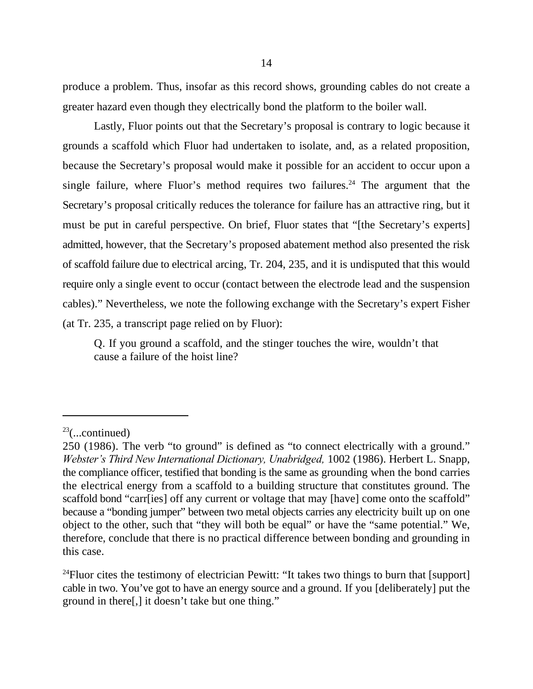produce a problem. Thus, insofar as this record shows, grounding cables do not create a greater hazard even though they electrically bond the platform to the boiler wall.

Lastly, Fluor points out that the Secretary's proposal is contrary to logic because it grounds a scaffold which Fluor had undertaken to isolate, and, as a related proposition, because the Secretary's proposal would make it possible for an accident to occur upon a single failure, where Fluor's method requires two failures.<sup>24</sup> The argument that the Secretary's proposal critically reduces the tolerance for failure has an attractive ring, but it must be put in careful perspective. On brief, Fluor states that "[the Secretary's experts] admitted, however, that the Secretary's proposed abatement method also presented the risk of scaffold failure due to electrical arcing, Tr. 204, 235, and it is undisputed that this would require only a single event to occur (contact between the electrode lead and the suspension cables)." Nevertheless, we note the following exchange with the Secretary's expert Fisher (at Tr. 235, a transcript page relied on by Fluor):

Q. If you ground a scaffold, and the stinger touches the wire, wouldn't that cause a failure of the hoist line?

<sup>24</sup> Fluor cites the testimony of electrician Pewitt: "It takes two things to burn that [support] cable in two. You've got to have an energy source and a ground. If you [deliberately] put the ground in there[,] it doesn't take but one thing."

 $23$ (...continued)

<sup>250 (1986).</sup> The verb "to ground" is defined as "to connect electrically with a ground." *Webster's Third New International Dictionary, Unabridged,* 1002 (1986). Herbert L. Snapp, the compliance officer, testified that bonding is the same as grounding when the bond carries the electrical energy from a scaffold to a building structure that constitutes ground. The scaffold bond "carr[ies] off any current or voltage that may [have] come onto the scaffold" because a "bonding jumper" between two metal objects carries any electricity built up on one object to the other, such that "they will both be equal" or have the "same potential." We, therefore, conclude that there is no practical difference between bonding and grounding in this case.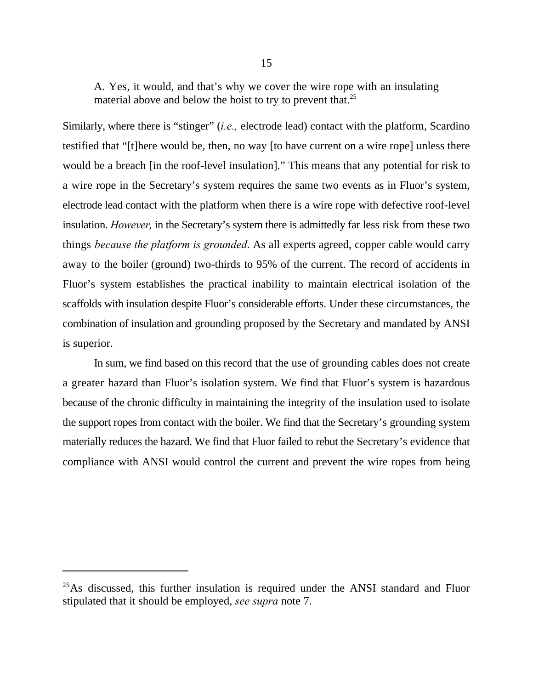A. Yes, it would, and that's why we cover the wire rope with an insulating material above and below the hoist to try to prevent that.<sup>25</sup>

Similarly, where there is "stinger" (*i.e.,* electrode lead) contact with the platform, Scardino testified that "[t]here would be, then, no way [to have current on a wire rope] unless there would be a breach [in the roof-level insulation]." This means that any potential for risk to a wire rope in the Secretary's system requires the same two events as in Fluor's system, electrode lead contact with the platform when there is a wire rope with defective roof-level insulation. *However,* in the Secretary's system there is admittedly far less risk from these two things *because the platform is grounded*. As all experts agreed, copper cable would carry away to the boiler (ground) two-thirds to 95% of the current. The record of accidents in Fluor's system establishes the practical inability to maintain electrical isolation of the scaffolds with insulation despite Fluor's considerable efforts. Under these circumstances, the combination of insulation and grounding proposed by the Secretary and mandated by ANSI is superior.

In sum, we find based on this record that the use of grounding cables does not create a greater hazard than Fluor's isolation system. We find that Fluor's system is hazardous because of the chronic difficulty in maintaining the integrity of the insulation used to isolate the support ropes from contact with the boiler. We find that the Secretary's grounding system materially reduces the hazard. We find that Fluor failed to rebut the Secretary's evidence that compliance with ANSI would control the current and prevent the wire ropes from being

 $^{25}$ As discussed, this further insulation is required under the ANSI standard and Fluor stipulated that it should be employed, *see supra* note 7.